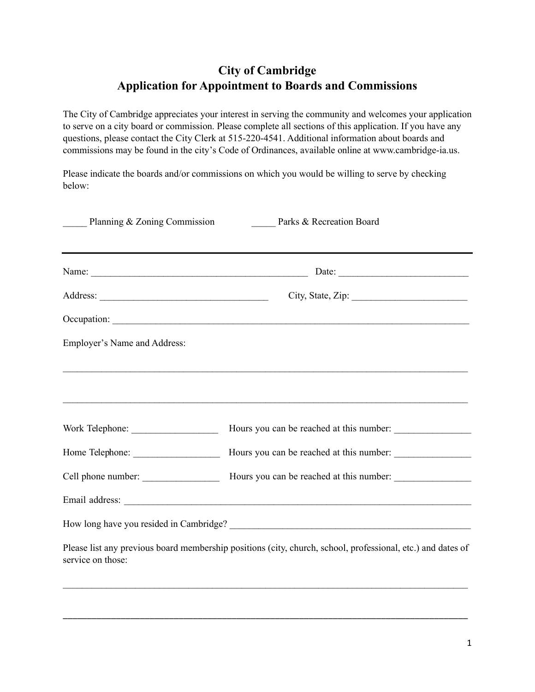## **City of Cambridge Application for Appointment to Boards and Commissions**

The City of Cambridge appreciates your interest in serving the community and welcomes your application to serve on a city board or commission. Please complete all sections of this application. If you have any questions, please contact the City Clerk at 515-220-4541. Additional information about boards and commissions may be found in the city's Code of Ordinances, available online at www.cambridge-ia.us.

Please indicate the boards and/or commissions on which you would be willing to serve by checking below:

| Planning & Zoning Commission | Parks & Recreation Board                                                                                    |  |
|------------------------------|-------------------------------------------------------------------------------------------------------------|--|
|                              |                                                                                                             |  |
|                              | City, State, Zip:                                                                                           |  |
|                              |                                                                                                             |  |
| Employer's Name and Address: |                                                                                                             |  |
|                              |                                                                                                             |  |
|                              | Hours you can be reached at this number:                                                                    |  |
| Home Telephone:              | Hours you can be reached at this number:                                                                    |  |
| Cell phone number:           | Hours you can be reached at this number:                                                                    |  |
|                              |                                                                                                             |  |
|                              |                                                                                                             |  |
| service on those:            | Please list any previous board membership positions (city, church, school, professional, etc.) and dates of |  |

 $\mathcal{L}_\text{max} = \frac{1}{2} \sum_{i=1}^n \mathcal{L}_\text{max} = \frac{1}{2} \sum_{i=1}^n \mathcal{L}_\text{max} = \frac{1}{2} \sum_{i=1}^n \mathcal{L}_\text{max} = \frac{1}{2} \sum_{i=1}^n \mathcal{L}_\text{max} = \frac{1}{2} \sum_{i=1}^n \mathcal{L}_\text{max} = \frac{1}{2} \sum_{i=1}^n \mathcal{L}_\text{max} = \frac{1}{2} \sum_{i=1}^n \mathcal{L}_\text{max} = \frac{1}{2} \sum_{i=$ 

\_\_\_\_\_\_\_\_\_\_\_\_\_\_\_\_\_\_\_\_\_\_\_\_\_\_\_\_\_\_\_\_\_\_\_\_\_\_\_\_\_\_\_\_\_\_\_\_\_\_\_\_\_\_\_\_\_\_\_\_\_\_\_\_\_\_\_\_\_\_\_\_\_\_\_\_\_\_\_\_\_\_\_\_